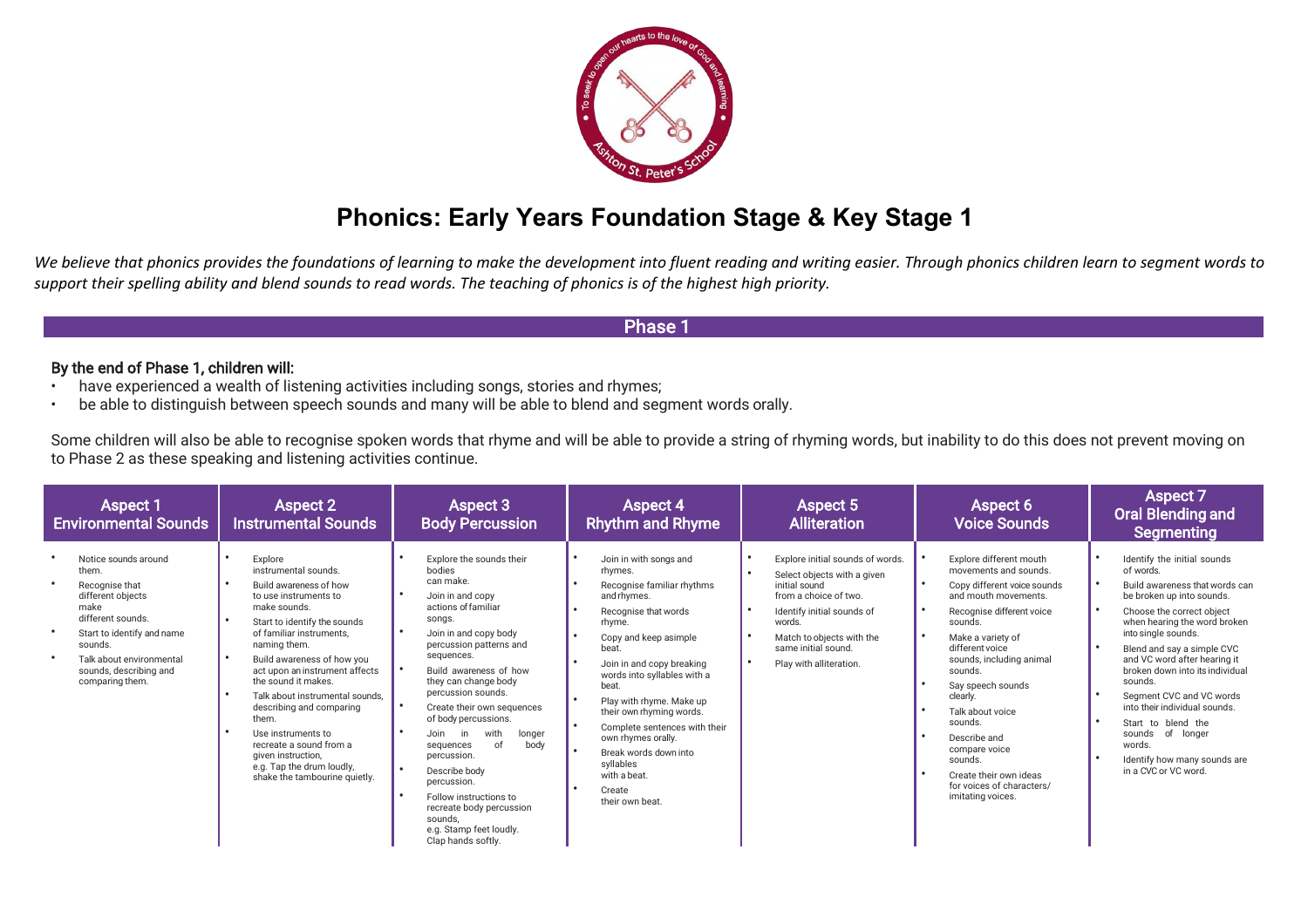

# **Phonics: Early Years Foundation Stage & Key Stage 1**

We believe that phonics provides the foundations of learning to make the development into fluent reading and writing easier. Through phonics children learn to segment words to *support their spelling ability and blend sounds to read words. The teaching of phonics is of the highest high priority.*

# $\mathsf{P}$ hase 1 $\mathsf{P}$ hase 1 $\mathsf{P}$ hase 1 $\mathsf{P}$ hase 1 $\mathsf{P}$ hase 1 $\mathsf{P}$

## By the end of Phase 1, children will:

- have experienced a wealth of listening activities including songs, stories and rhymes;
- be able to distinguish between speech sounds and many will be able to blend and segment words orally.

Some children will also be able to recognise spoken words that rhyme and will be able to provide a string of rhyming words, but inability to do this does not prevent moving on to Phase 2 as these speaking and listening activities continue.

| <b>Aspect 1</b><br><b>Environmental Sounds</b>                                                                                                                                                                      | Aspect 2<br><b>Instrumental Sounds</b>                                                                                                                                                                                                                                                                                                                                                                                                                                             | Aspect 3<br><b>Body Percussion</b>                                                                                                                                                                                                                                                                                                                                                                                                                                                                                               | <b>Aspect 4</b><br><b>Rhythm and Rhyme</b>                                                                                                                                                                                                                                                                                                                                                                                                                      | Aspect 5<br><b>Alliteration</b>                                                                                                                                                                                                  | Aspect 6<br><b>Voice Sounds</b>                                                                                                                                                                                                                                                                                                                                                                                        | <b>Aspect 7</b><br><b>Oral Blending and</b><br>Segmenting                                                                                                                                                                                                                                                                                                                                                                                                                                                                            |
|---------------------------------------------------------------------------------------------------------------------------------------------------------------------------------------------------------------------|------------------------------------------------------------------------------------------------------------------------------------------------------------------------------------------------------------------------------------------------------------------------------------------------------------------------------------------------------------------------------------------------------------------------------------------------------------------------------------|----------------------------------------------------------------------------------------------------------------------------------------------------------------------------------------------------------------------------------------------------------------------------------------------------------------------------------------------------------------------------------------------------------------------------------------------------------------------------------------------------------------------------------|-----------------------------------------------------------------------------------------------------------------------------------------------------------------------------------------------------------------------------------------------------------------------------------------------------------------------------------------------------------------------------------------------------------------------------------------------------------------|----------------------------------------------------------------------------------------------------------------------------------------------------------------------------------------------------------------------------------|------------------------------------------------------------------------------------------------------------------------------------------------------------------------------------------------------------------------------------------------------------------------------------------------------------------------------------------------------------------------------------------------------------------------|--------------------------------------------------------------------------------------------------------------------------------------------------------------------------------------------------------------------------------------------------------------------------------------------------------------------------------------------------------------------------------------------------------------------------------------------------------------------------------------------------------------------------------------|
| Notice sounds around<br>them.<br>Recognise that<br>different objects<br>make<br>different sounds.<br>Start to identify and name<br>sounds.<br>Talk about environmental<br>sounds, describing and<br>comparing them. | Explore<br>instrumental sounds.<br>Build awareness of how<br>to use instruments to<br>make sounds.<br>Start to identify the sounds<br>of familiar instruments.<br>naming them.<br>Build awareness of how you<br>act upon an instrument affects<br>the sound it makes.<br>Talk about instrumental sounds.<br>describing and comparing<br>them.<br>Use instruments to<br>recreate a sound from a<br>given instruction,<br>e.g. Tap the drum loudly,<br>shake the tambourine quietly. | Explore the sounds their<br>bodies<br>can make.<br>Join in and copy<br>actions of familiar<br>songs.<br>Join in and copy body<br>percussion patterns and<br>sequences.<br>Build awareness of how<br>they can change body<br>percussion sounds.<br>Create their own sequences<br>of body percussions.<br>with<br>longer<br>in<br>Join<br>of<br>body<br>sequences<br>percussion.<br>Describe body<br>percussion.<br>Follow instructions to<br>recreate body percussion<br>sounds.<br>e.g. Stamp feet loudly.<br>Clap hands softly. | $\bullet$<br>Join in with songs and<br>rhymes.<br>Recognise familiar rhythms<br>and rhymes.<br>Recognise that words<br>rhyme.<br>$\bullet$<br>Copy and keep asimple<br>beat.<br>Join in and copy breaking<br>words into syllables with a<br>beat.<br>Play with rhyme. Make up<br>their own rhyming words.<br>$\bullet$<br>Complete sentences with their<br>own rhymes orally.<br>Break words down into<br>syllables<br>with a beat.<br>Create<br>their own beat | Explore initial sounds of words.<br>Select objects with a given<br>initial sound<br>from a choice of two.<br>Identify initial sounds of<br>words.<br>Match to objects with the<br>same initial sound.<br>Play with alliteration. | Explore different mouth<br>movements and sounds.<br>Copy different voice sounds<br>and mouth movements.<br>Recognise different voice<br>sounds.<br>Make a variety of<br>different voice<br>sounds, including animal<br>sounds.<br>Say speech sounds<br>clearly.<br>Talk about voice<br>sounds.<br>Describe and<br>compare voice<br>sounds.<br>Create their own ideas<br>for voices of characters/<br>imitating voices. | Identify the initial sounds<br>$\bullet$<br>of words.<br>$\bullet$<br>Build awareness that words can<br>be broken up into sounds.<br>$\bullet$<br>Choose the correct object<br>when hearing the word broken<br>into single sounds.<br>$\bullet$<br>Blend and say a simple CVC<br>and VC word after hearing it<br>broken down into its individual<br>sounds.<br>Segment CVC and VC words<br>into their individual sounds.<br>Start to blend the<br>sounds of longer<br>words.<br>Identify how many sounds are<br>in a CVC or VC word. |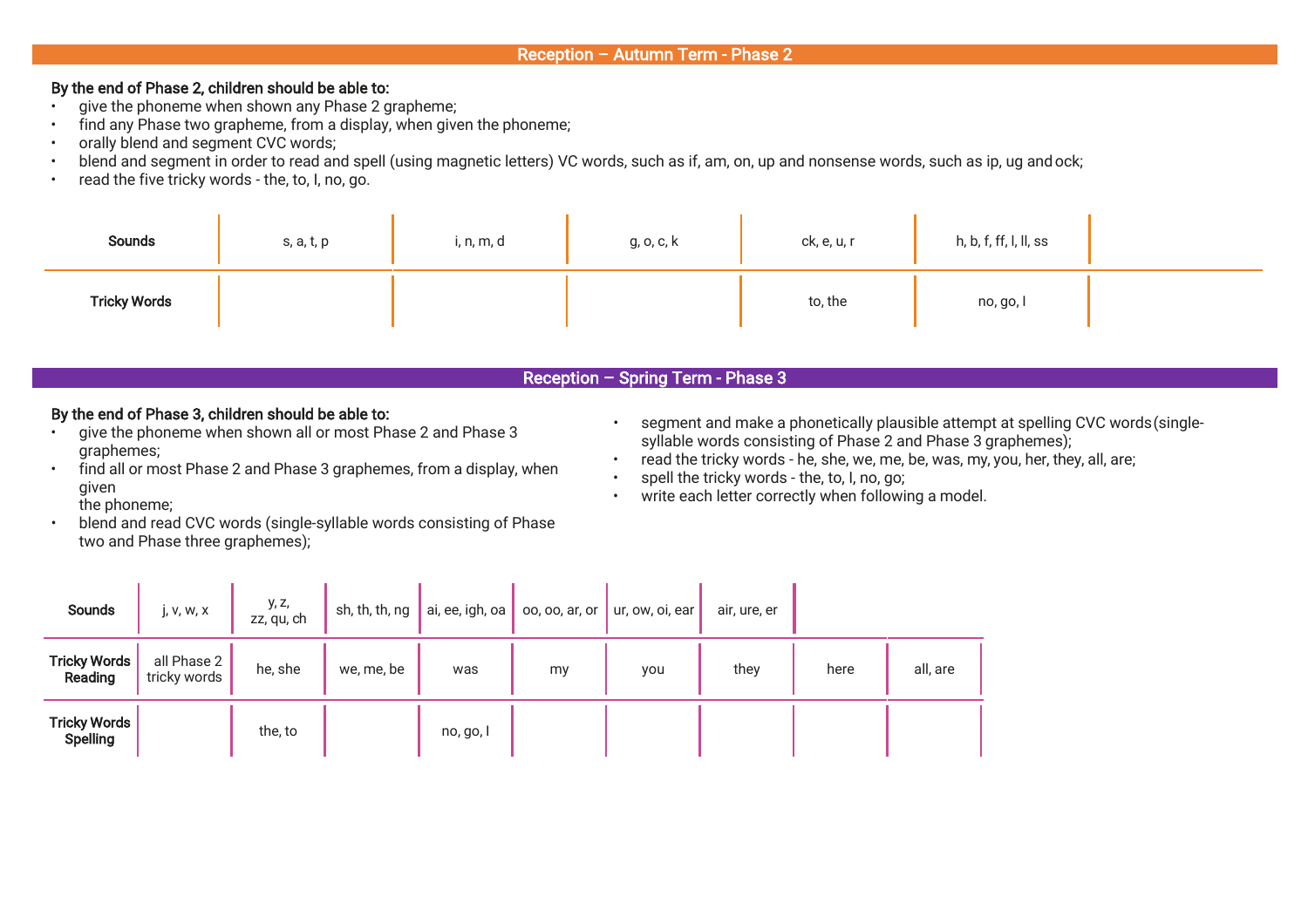## Reception – Autumn Term - Phase 2

## By the end of Phase 2, children should be able to:

- give the phoneme when shown any Phase 2 grapheme;
- find any Phase two grapheme, from a display, when given the phoneme;
- orally blend and segment CVC words;
- blend and segment in order to read and spell (using magnetic letters) VC words, such as if, am, on, up and nonsense words, such as ip, ug and ock;
- read the five tricky words the, to, I, no, go.

| Sounds              | s, a, t, p | i, n, m, d | g, o, c, k | ck, e, u, r | h, b, f, ff, l, ll, ss |
|---------------------|------------|------------|------------|-------------|------------------------|
| <b>Tricky Words</b> |            |            |            | to, the     | no, go, l              |

# Reception – Spring Term - Phase 3

# By the end of Phase 3, children should be able to:

- give the phoneme when shown all or most Phase 2 and Phase 3 graphemes;
- find all or most Phase 2 and Phase 3 graphemes, from a display, when given
	- the phoneme;
- blend and read CVC words (single-syllable words consisting of Phase two and Phase three graphemes);
- segment and make a phonetically plausible attempt at spelling CVC words(singlesyllable words consisting of Phase 2 and Phase 3 graphemes);
- read the tricky words he, she, we, me, be, was, my, you, her, they, all, are;
- spell the tricky words the, to, I, no, go;
- write each letter correctly when following a model.

| Sounds                                 | j, V, W, X                  | y, z,<br>zz, qu, ch | sh, th, th, ng | ai, ee, igh, oa | 00, 00, ar, or | ur, ow, oi, ear | air, ure, er |      |          |
|----------------------------------------|-----------------------------|---------------------|----------------|-----------------|----------------|-----------------|--------------|------|----------|
| <b>Tricky Words</b><br>Reading         | all Phase 2<br>tricky words | he, she             | we, me, be     | was             | my             | you             | they         | here | all, are |
| <b>Tricky Words</b><br><b>Spelling</b> |                             | the, to             |                | no, go, l       |                |                 |              |      |          |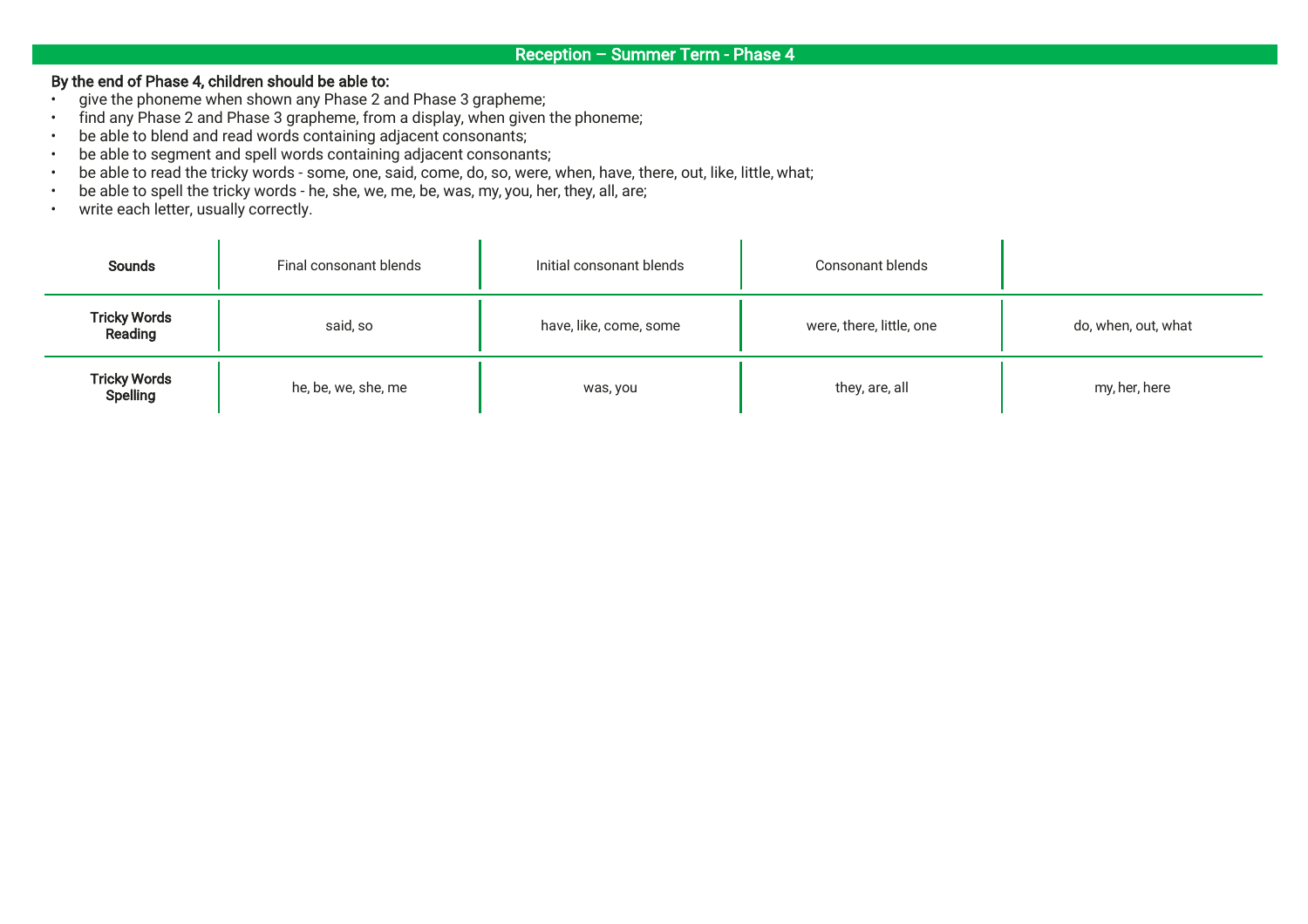## By the end of Phase 4, children should be able to:

- give the phoneme when shown any Phase 2 and Phase 3 grapheme;
- find any Phase 2 and Phase 3 grapheme, from a display, when given the phoneme;
- be able to blend and read words containing adjacent consonants;
- be able to segment and spell words containing adjacent consonants;
- be able to read the tricky words some, one, said, come, do, so, were, when, have, there, out, like, little, what;
- be able to spell the tricky words he, she, we, me, be, was, my, you, her, they, all, are;
- write each letter, usually correctly.

| <b>Sounds</b>                   | Final consonant blends | Initial consonant blends | Consonant blends         |                     |
|---------------------------------|------------------------|--------------------------|--------------------------|---------------------|
| <b>Tricky Words</b><br>Reading  | said, so               | have, like, come, some   | were, there, little, one | do, when, out, what |
| <b>Tricky Words</b><br>Spelling | he, be, we, she, me    | was, you                 | they, are, all           | my, her, here       |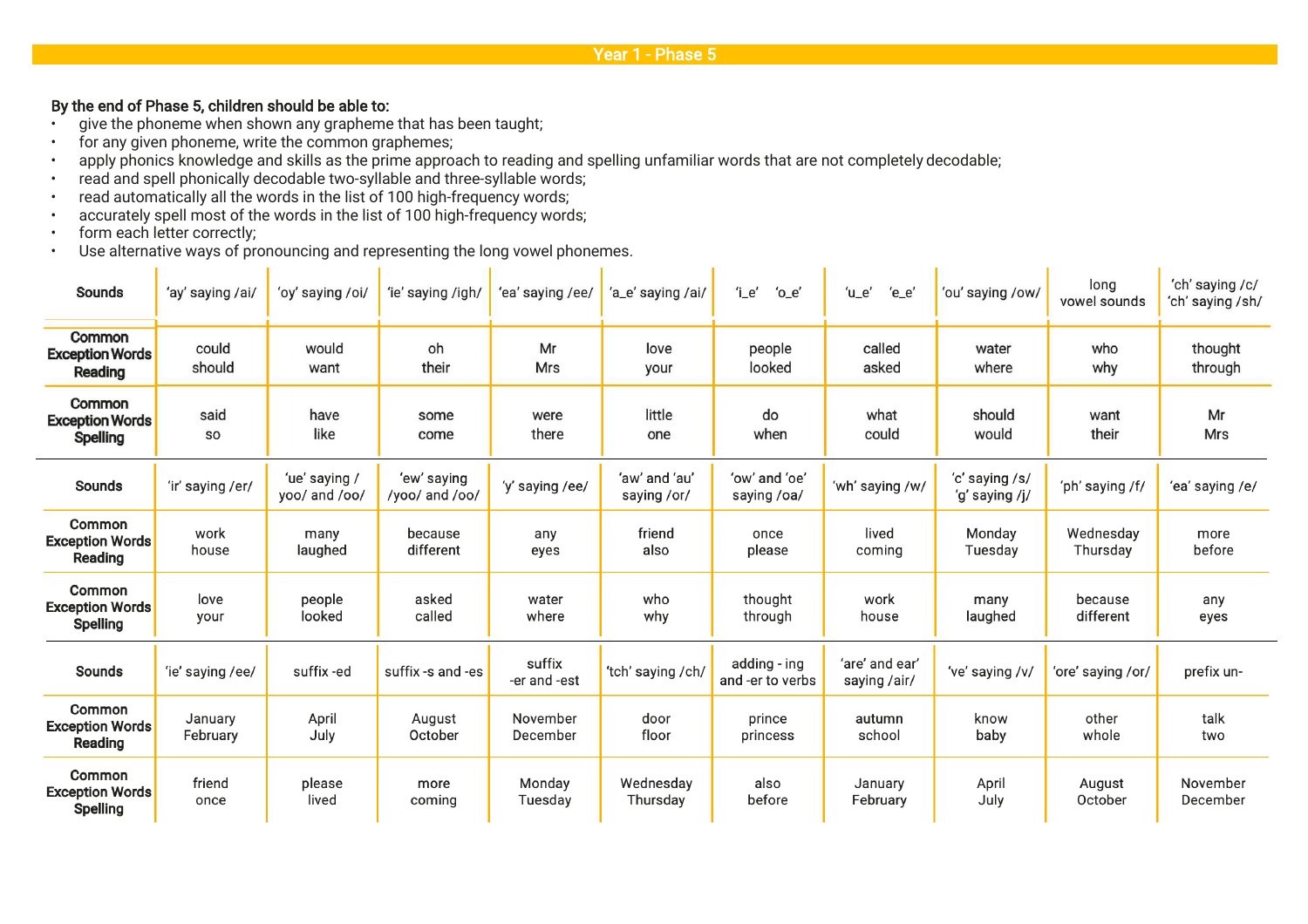## By the end of Phase 5, children should be able to:

- give the phoneme when shown any grapheme that has been taught;
- for any given phoneme, write the common graphemes;
- apply phonics knowledge and skills as the prime approach to reading and spelling unfamiliar words that are not completely decodable;
- read and spell phonically decodable two-syllable and three-syllable words;
- read automatically all the words in the list of 100 high-frequency words;
- accurately spell most of the words in the list of 100 high-frequency words;
- form each letter correctly;
- Use alternative ways of pronouncing and representing the long vowel phonemes.

| <b>Sounds</b>                                              | 'ay' saying /ai/    | 'oy' saying /oi/               | 'ie' saying /igh/             | 'ea' saying /ee/       | 'a_e' saying /ai/            | $i$ _e'<br>$^{\prime}$ o $_e$ e $^{\prime}$ | $'u_e$<br>$'e_e$               | 'ou' saying /ow/                 | long<br>vowel sounds  | 'ch' saying /c/<br>'ch' saying /sh/ |
|------------------------------------------------------------|---------------------|--------------------------------|-------------------------------|------------------------|------------------------------|---------------------------------------------|--------------------------------|----------------------------------|-----------------------|-------------------------------------|
| Common<br><b>Exception Words</b><br>Reading                | could<br>should     | would<br>want                  | oh<br>their                   | Mr<br><b>Mrs</b>       | love<br>your                 | people<br>looked                            | called<br>asked                | water<br>where                   | who<br>why            | thought<br>through                  |
| Common<br><b>Exception Words</b><br><b>Spelling</b>        | said<br><b>SO</b>   | have<br>like                   | some<br>come                  | were<br>there          | little<br>one                | do<br>when                                  | what<br>could                  | should<br>would                  | want<br>their         | Mr<br>Mrs                           |
| <b>Sounds</b>                                              | 'ir' saying /er/    | 'ue' saying /<br>yoo/ and /oo/ | 'ew' saying<br>/yoo/ and /oo/ | 'y' saying /ee/        | 'aw' and 'au'<br>saying /or/ | 'ow' and 'oe'<br>saying /oa/                | 'wh' saying /w/                | 'c' saying /s/<br>'g' saying /j/ | 'ph' saying /f/       | 'ea' saying /e/                     |
| Common<br><b>Exception Words</b><br>Reading                | work<br>house       | many<br>laughed                | because<br>different          | any<br>eyes            | friend<br>also               | once<br>please                              | lived<br>coming                | Monday<br>Tuesday                | Wednesday<br>Thursday | more<br>before                      |
| <b>Common</b><br><b>Exception Words</b><br><b>Spelling</b> | love<br>your        | people<br>looked               | asked<br>called               | water<br>where         | who<br>why                   | thought<br>through                          | work<br>house                  | many<br>laughed                  | because<br>different  | any<br>eyes                         |
| <b>Sounds</b>                                              | 'ie' saying /ee/    | suffix-ed                      | suffix -s and -es             | suffix<br>-er and -est | 'tch' saying /ch/            | adding - ing<br>and -er to verbs            | 'are' and ear'<br>saying /air/ | 've' saying /v/                  | 'ore' saying /or/     | prefix un-                          |
| <b>Common</b><br><b>Exception Words</b><br>Reading         | January<br>February | April<br>July                  | August<br>October             | November<br>December   | door<br>floor                | prince<br>princess                          | autumn<br>school               | know<br>baby                     | other<br>whole        | talk<br>two                         |
| Common<br><b>Exception Words</b><br><b>Spelling</b>        | friend<br>once      | please<br>lived                | more<br>coming                | Monday<br>Tuesday      | Wednesday<br>Thursday        | also<br>before                              | January<br>February            | April<br>July                    | August<br>October     | November<br>December                |